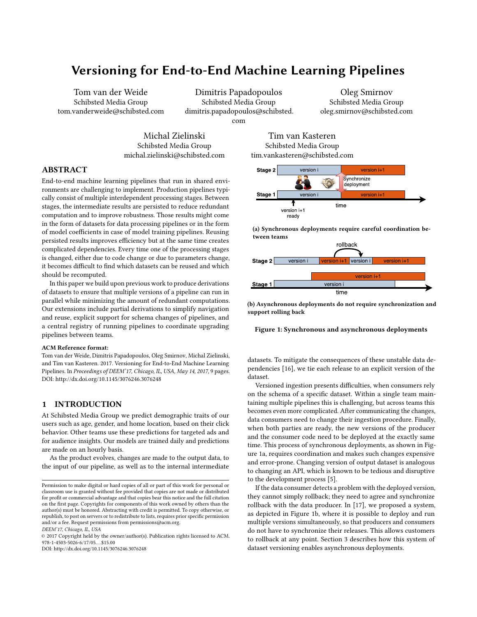# Versioning for End-to-End Machine Learning Pipelines

Tom van der Weide Schibsted Media Group tom.vanderweide@schibsted.com

Dimitris Papadopoulos Schibsted Media Group dimitris.papadopoulos@schibsted.

Oleg Smirnov Schibsted Media Group oleg.smirnov@schibsted.com

com

Michal Zielinski Schibsted Media Group michal.zielinski@schibsted.com

Tim van Kasteren Schibsted Media Group

# ABSTRACT

End-to-end machine learning pipelines that run in shared environments are challenging to implement. Production pipelines typically consist of multiple interdependent processing stages. Between stages, the intermediate results are persisted to reduce redundant computation and to improve robustness. Those results might come in the form of datasets for data processing pipelines or in the form of model coefficients in case of model training pipelines. Reusing persisted results improves efficiency but at the same time creates complicated dependencies. Every time one of the processing stages is changed, either due to code change or due to parameters change, it becomes difficult to find which datasets can be reused and which should be recomputed.

In this paper we build upon previous work to produce derivations of datasets to ensure that multiple versions of a pipeline can run in parallel while minimizing the amount of redundant computations. Our extensions include partial derivations to simplify navigation and reuse, explicit support for schema changes of pipelines, and a central registry of running pipelines to coordinate upgrading pipelines between teams.

### ACM Reference format:

Tom van der Weide, Dimitris Papadopoulos, Oleg Smirnov, Michal Zielinski, and Tim van Kasteren. 2017. Versioning for End-to-End Machine Learning Pipelines. In Proceedings of DEEM'17, Chicago, IL, USA, May 14, 2017, [9](#page-8-0) pages. DOI: http://dx.doi.org/10.1145/3076246.3076248

# 1 INTRODUCTION

At Schibsted Media Group we predict demographic traits of our users such as age, gender, and home location, based on their click behavior. Other teams use these predictions for targeted ads and for audience insights. Our models are trained daily and predictions are made on an hourly basis.

As the product evolves, changes are made to the output data, to the input of our pipeline, as well as to the internal intermediate

DOI: http://dx.doi.org/10.1145/3076246.3076248

<span id="page-0-0"></span>tim.vankasteren@schibsted.com Stage 2 version i version i+1 Synchronize



(a) Synchronous deployments require careful coordination between teams



(b) Asynchronous deployments do not require synchronization and support rolling back

### Figure 1: Synchronous and asynchronous deployments

datasets. To mitigate the consequences of these unstable data dependencies [\[16\]](#page-8-1), we tie each release to an explicit version of the dataset.

Versioned ingestion presents difficulties, when consumers rely on the schema of a specific dataset. Within a single team maintaining multiple pipelines this is challenging, but across teams this becomes even more complicated. After communicating the changes, data consumers need to change their ingestion procedure. Finally, when both parties are ready, the new versions of the producer and the consumer code need to be deployed at the exactly same time. This process of synchronous deployments, as shown in Figure [1a,](#page-0-0) requires coordination and makes such changes expensive and error-prone. Changing version of output dataset is analogous to changing an API, which is known to be tedious and disruptive to the development process [\[5\]](#page-7-0).

If the data consumer detects a problem with the deployed version, they cannot simply rollback; they need to agree and synchronize rollback with the data producer. In [\[17\]](#page-8-2), we proposed a system, as depicted in Figure [1b,](#page-0-0) where it is possible to deploy and run multiple versions simultaneously, so that producers and consumers do not have to synchronize their releases. This allows customers to rollback at any point. Section [3](#page-1-0) describes how this system of dataset versioning enables asynchronous deployments.

Permission to make digital or hard copies of all or part of this work for personal or classroom use is granted without fee provided that copies are not made or distributed for profit or commercial advantage and that copies bear this notice and the full citation on the first page. Copyrights for components of this work owned by others than the author(s) must be honored. Abstracting with credit is permitted. To copy otherwise, or republish, to post on servers or to redistribute to lists, requires prior specific permission and/or a fee. Request permissions from permissions@acm.org.

DEEM'17, Chicago, IL, USA

<sup>©</sup> 2017 Copyright held by the owner/author(s). Publication rights licensed to ACM. 978-1-4503-5026-6/17/05. . . \$15.00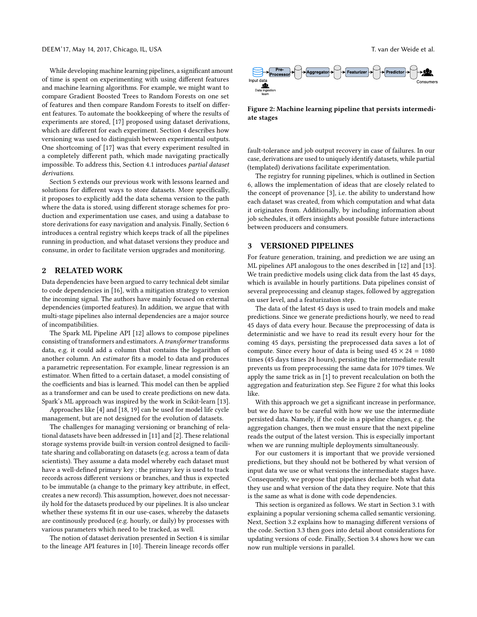While developing machine learning pipelines, a significant amount of time is spent on experimenting with using different features and machine learning algorithms. For example, we might want to compare Gradient Boosted Trees to Random Forests on one set of features and then compare Random Forests to itself on different features. To automate the bookkeeping of where the results of experiments are stored, [\[17\]](#page-8-2) proposed using dataset derivations, which are different for each experiment. Section [4](#page-2-0) describes how versioning was used to distinguish between experimental outputs. One shortcoming of [\[17\]](#page-8-2) was that every experiment resulted in a completely different path, which made navigating practically impossible. To address this, Section [4.1](#page-3-0) introduces partial dataset derivations.

Section [5](#page-4-0) extends our previous work with lessons learned and solutions for different ways to store datasets. More specifically, it proposes to explicitly add the data schema version to the path where the data is stored, using different storage schemes for production and experimentation use cases, and using a database to store derivations for easy navigation and analysis. Finally, Section [6](#page-6-0) introduces a central registry which keeps track of all the pipelines running in production, and what dataset versions they produce and consume, in order to facilitate version upgrades and monitoring.

# 2 RELATED WORK

Data dependencies have been argued to carry technical debt similar to code dependencies in [\[16\]](#page-8-1), with a mitigation strategy to version the incoming signal. The authors have mainly focused on external dependencies (imported features). In addition, we argue that with multi-stage pipelines also internal dependencies are a major source of incompatibilities.

The Spark ML Pipeline API [\[12\]](#page-8-3) allows to compose pipelines consisting of transformers and estimators. A transformer transforms data, e.g. it could add a column that contains the logarithm of another column. An estimator fits a model to data and produces a parametric representation. For example, linear regression is an estimator. When fitted to a certain dataset, a model consisting of the coefficients and bias is learned. This model can then be applied as a transformer and can be used to create predictions on new data. Spark's ML approach was inspired by the work in Scikit-learn [\[13\]](#page-8-4).

Approaches like [\[4\]](#page-7-1) and [\[18,](#page-8-5) [19\]](#page-8-6) can be used for model life cycle management, but are not designed for the evolution of datasets.

The challenges for managing versioning or branching of relational datasets have been addressed in [\[11\]](#page-8-7) and [\[2\]](#page-7-2). These relational storage systems provide built-in version control designed to facilitate sharing and collaborating on datasets (e.g. across a team of data scientists). They assume a data model whereby each dataset must have a well-defined primary key ; the primary key is used to track records across different versions or branches, and thus is expected to be immutable (a change to the primary key attribute, in effect, creates a new record). This assumption, however, does not necessarily hold for the datasets produced by our pipelines. It is also unclear whether these systems fit in our use-cases, whereby the datasets are continously produced (e.g. hourly, or daily) by processes with various parameters which need to be tracked, as well.

The notion of dataset derivation presented in Section [4](#page-2-0) is similar to the lineage API features in [\[10\]](#page-8-8). Therein lineage records offer

<span id="page-1-1"></span>

Figure 2: Machine learning pipeline that persists intermediate stages

fault-tolerance and job output recovery in case of failures. In our case, derivations are used to uniquely identify datasets, while partial (templated) derivations facilitate experimentation.

The registry for running pipelines, which is outlined in Section [6,](#page-6-0) allows the implementation of ideas that are closely related to the concept of provenance [\[3\]](#page-7-3), i.e. the ability to understand how each dataset was created, from which computation and what data it originates from. Additionally, by including information about job schedules, it offers insights about possible future interactions between producers and consumers.

# <span id="page-1-0"></span>3 VERSIONED PIPELINES

For feature generation, training, and prediction we are using an ML pipelines API analogous to the ones described in [\[12\]](#page-8-3) and [\[13\]](#page-8-4). We train predictive models using click data from the last 45 days, which is available in hourly partitions. Data pipelines consist of several preprocessing and cleanup stages, followed by aggregation on user level, and a featurization step.

The data of the latest 45 days is used to train models and make predictions. Since we generate predictions hourly, we need to read 45 days of data every hour. Because the preprocessing of data is deterministic and we have to read its result every hour for the coming 45 days, persisting the preprocessed data saves a lot of compute. Since every hour of data is being used  $45 \times 24 = 1080$ times (45 days times 24 hours), persisting the intermediate result prevents us from preprocessing the same data for 1079 times. We apply the same trick as in [\[1\]](#page-7-4) to prevent recalculation on both the aggregation and featurization step. See Figure [2](#page-1-1) for what this looks like.

With this approach we get a significant increase in performance, but we do have to be careful with how we use the intermediate persisted data. Namely, if the code in a pipeline changes, e.g. the aggregation changes, then we must ensure that the next pipeline reads the output of the latest version. This is especially important when we are running multiple deployments simultaneously.

For our customers it is important that we provide versioned predictions, but they should not be bothered by what version of input data we use or what versions the intermediate stages have. Consequently, we propose that pipelines declare both what data they use and what version of the data they require. Note that this is the same as what is done with code dependencies.

This section is organized as follows. We start in Section [3.1](#page-2-1) with explaining a popular versioning schema called semantic versioning. Next, Section [3.2](#page-2-2) explains how to managing different versions of the code. Section [3.3](#page-2-3) then goes into detail about considerations for updating versions of code. Finally, Section [3.4](#page-2-4) shows how we can now run multiple versions in parallel.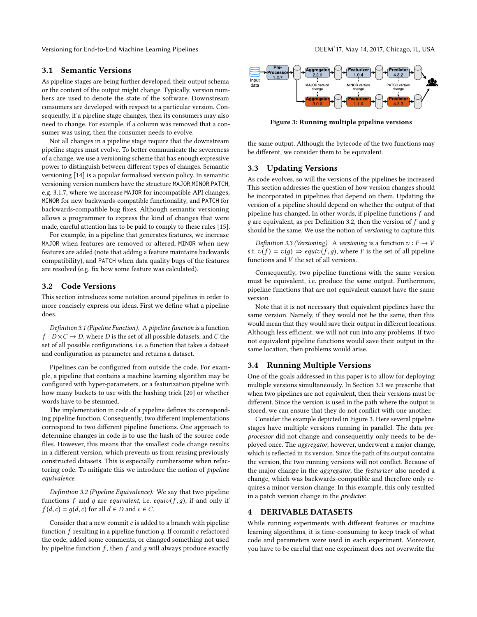# <span id="page-2-1"></span>3.1 Semantic Versions

As pipeline stages are being further developed, their output schema or the content of the output might change. Typically, version numbers are used to denote the state of the software. Downstream consumers are developed with respect to a particular version. Consequently, if a pipeline stage changes, then its consumers may also need to change. For example, if a column was removed that a consumer was using, then the consumer needs to evolve.

Not all changes in a pipeline stage require that the downstream pipeline stages must evolve. To better communicate the severeness of a change, we use a versioning scheme that has enough expressive power to distinguish between different types of changes. Semantic versioning [\[14\]](#page-8-9) is a popular formalised version policy. In semantic versioning version numbers have the structure MAJOR.MINOR.PATCH, e.g. 3.1.7, where we increase MAJOR for incompatible API changes, MINOR for new backwards-compatible functionality, and PATCH for backwards-compatible bug fixes. Although semantic versioning allows a programmer to express the kind of changes that were made, careful attention has to be paid to comply to these rules [\[15\]](#page-8-10).

For example, in a pipeline that generates features, we increase MAJOR when features are removed or altered, MINOR when new features are added (note that adding a feature maintains backwards compatibility), and PATCH when data quality bugs of the features are resolved (e.g. fix how some feature was calculated).

# <span id="page-2-2"></span>3.2 Code Versions

This section introduces some notation around pipelines in order to more concisely express our ideas. First we define what a pipeline does.

Definition 3.1 (Pipeline Function). A pipeline function is a function  $f: D \times C \rightarrow D$ , where D is the set of all possible datasets, and C the set of all possible configurations, i.e. a function that takes a dataset and configuration as parameter and returns a dataset.

Pipelines can be configured from outside the code. For example, a pipeline that contains a machine learning algorithm may be configured with hyper-parameters, or a featurization pipeline with how many buckets to use with the hashing trick [\[20\]](#page-8-11) or whether words have to be stemmed.

The implementation in code of a pipeline defines its corresponding pipeline function. Consequently, two different implementations correspond to two different pipeline functions. One approach to determine changes in code is to use the hash of the source code files. However, this means that the smallest code change results in a different version, which prevents us from reusing previously constructed datasets. This is especially cumbersome when refactoring code. To mitigate this we introduce the notion of pipeline equivalence.

<span id="page-2-5"></span>Definition 3.2 (Pipeline Equivalence). We say that two pipeline functions f and g are equivalent, i.e. equiv(f, g), if and only if  $f(d, c) = g(d, c)$  for all  $d \in D$  and  $c \in C$ .

Consider that a new commit  $c$  is added to a branch with pipeline function  $f$  resulting in a pipeline function  $g$ . If commit  $c$  refactored the code, added some comments, or changed something not used by pipeline function  $f$ , then  $f$  and  $g$  will always produce exactly

<span id="page-2-6"></span>

Figure 3: Running multiple pipeline versions

the same output. Although the bytecode of the two functions may be different, we consider them to be equivalent.

# <span id="page-2-3"></span>3.3 Updating Versions

As code evolves, so will the versions of the pipelines be increased. This section addresses the question of how version changes should be incorporated in pipelines that depend on them. Updating the version of a pipeline should depend on whether the output of that pipeline has changed. In other words, if pipeline functions f and  $q$  are equivalent, as per Definition [3.2,](#page-2-5) then the version of  $f$  and  $q$ should be the same. We use the notion of versioning to capture this.

Definition 3.3 (Versioning). A versioning is a function  $v : F \to V$ s.t.  $v(f) = v(g) \Rightarrow equiv(f, g)$ , where F is the set of all pipeline functions and V the set of all versions.

Consequently, two pipeline functions with the same version must be equivalent, i.e. produce the same output. Furthermore, pipeline functions that are not equivalent cannot have the same version.

Note that it is not necessary that equivalent pipelines have the same version. Namely, if they would not be the same, then this would mean that they would save their output in different locations. Although less efficient, we will not run into any problems. If two not equivalent pipeline functions would save their output in the same location, then problems would arise.

### <span id="page-2-4"></span>3.4 Running Multiple Versions

One of the goals addressed in this paper is to allow for deploying multiple versions simultaneously. In Section [3.3](#page-2-3) we prescribe that when two pipelines are not equivalent, then their versions must be different. Since the version is used in the path where the output is stored, we can ensure that they do not conflict with one another.

Consider the example depicted in Figure [3.](#page-2-6) Here several pipeline stages have multiple versions running in parallel. The data preprocessor did not change and consequently only needs to be deployed once. The aggregator, however, underwent a major change, which is reflected in its version. Since the path of its output contains the version, the two running versions will not conflict. Because of the major change in the aggregator, the featurizer also needed a change, which was backwards-compatible and therefore only requires a minor version change. In this example, this only resulted in a patch version change in the predictor.

# <span id="page-2-0"></span>DERIVABLE DATASETS

While running experiments with different features or machine learning algorithms, it is time-consuming to keep track of what code and parameters were used in each experiment. Moreover, you have to be careful that one experiment does not overwrite the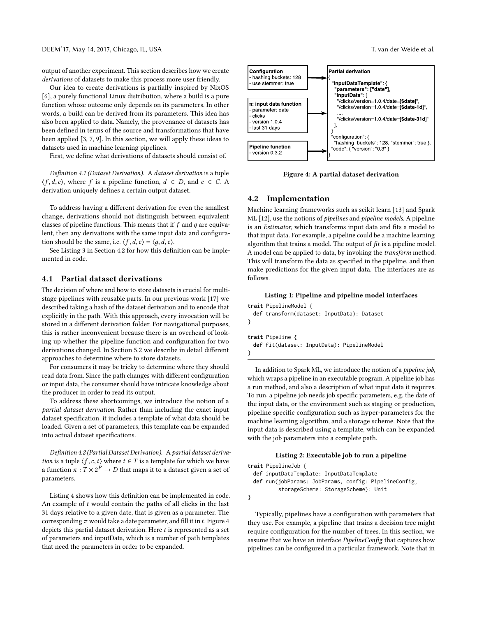output of another experiment. This section describes how we create derivations of datasets to make this process more user friendly.

Our idea to create derivations is partially inspired by NixOS [\[6\]](#page-7-5), a purely functional Linux distribution, where a build is a pure function whose outcome only depends on its parameters. In other words, a build can be derived from its parameters. This idea has also been applied to data. Namely, the provenance of datasets has been defined in terms of the source and transformations that have been applied [\[3,](#page-7-3) [7,](#page-8-12) [9\]](#page-8-13). In this section, we will apply these ideas to datasets used in machine learning pipelines.

First, we define what derivations of datasets should consist of.

<span id="page-3-3"></span>Definition 4.1 (Dataset Derivation). A dataset derivation is a tuple  $\langle f, d, c \rangle$ , where f is a pipeline function,  $d \in D$ , and  $c \in C$ . A derivation uniquely defines a certain output dataset.

To address having a different derivation for even the smallest change, derivations should not distinguish between equivalent classes of pipeline functions. This means that if  $f$  and  $g$  are equivalent, then any derivations with the same input data and configuration should be the same, i.e.  $\langle f, d, c \rangle = \langle g, d, c \rangle$ .

See Listing [3](#page-4-1) in Section [4.2](#page-3-1) for how this definition can be implemented in code.

# <span id="page-3-0"></span>4.1 Partial dataset derivations

The decision of where and how to store datasets is crucial for multistage pipelines with reusable parts. In our previous work [\[17\]](#page-8-2) we described taking a hash of the dataset derivation and to encode that explicitly in the path. With this approach, every invocation will be stored in a different derivation folder. For navigational purposes, this is rather inconvenient because there is an overhead of looking up whether the pipeline function and configuration for two derivations changed. In Section [5.2](#page-4-2) we describe in detail different approaches to determine where to store datasets.

For consumers it may be tricky to determine where they should read data from. Since the path changes with different configuration or input data, the consumer should have intricate knowledge about the producer in order to read its output.

To address these shortcomings, we introduce the notion of a partial dataset derivation. Rather than including the exact input dataset specification, it includes a template of what data should be loaded. Given a set of parameters, this template can be expanded into actual dataset specifications.

<span id="page-3-4"></span>Definition 4.2 (Partial Dataset Derivation). A partial dataset derivation is a tuple  $\langle f, c, t \rangle$  where  $t \in T$  is a template for which we have a function  $\pi: T \times 2^P \to D$  that maps it to a dataset given a set of parameters parameters.

Listing [4](#page-4-3) shows how this definition can be implemented in code. An example of t would contain the paths of all clicks in the last 31 days relative to a given date, that is given as a parameter. The corresponding  $\pi$  would take a date parameter, and fill it in t. Figure [4](#page-3-2) depicts this partial dataset derivation. Here  $t$  is represented as a set of parameters and inputData, which is a number of path templates that need the parameters in order to be expanded.

<span id="page-3-2"></span>

Figure 4: A partial dataset derivation

# <span id="page-3-1"></span>4.2 Implementation

Machine learning frameworks such as scikit learn [\[13\]](#page-8-4) and Spark ML [\[12\]](#page-8-3), use the notions of pipelines and pipeline models. A pipeline is an Estimator, which transforms input data and fits a model to that input data. For example, a pipeline could be a machine learning algorithm that trains a model. The output of  $fit$  is a pipeline model. A model can be applied to data, by invoking the transform method. This will transform the data as specified in the pipeline, and then make predictions for the given input data. The interfaces are as follows.

| Listing 1: Pipeline and pipeline model interfaces                   |
|---------------------------------------------------------------------|
| trait PipelineModel {<br>def transform(dataset: InputData): Dataset |
| trait Pipeline {<br>def fit(dataset: InputData): PipelineModel      |

In addition to Spark ML, we introduce the notion of a pipeline job, which wraps a pipeline in an executable program. A pipeline job has a run method, and also a description of what input data it requires. To run, a pipeline job needs job specific parameters, e.g. the date of the input data, or the environment such as staging or production, pipeline specific configuration such as hyper-parameters for the machine learning algorithm, and a storage scheme. Note that the input data is described using a template, which can be expanded with the job parameters into a complete path.

| Listing 2: Executable job to run a pipeline |  |  |
|---------------------------------------------|--|--|
|                                             |  |  |

<span id="page-3-5"></span>

|   | <b>trait</b> PipelineJob {                            |
|---|-------------------------------------------------------|
|   | def inputDataTemplate: InputDataTemplate              |
|   | def run(jobParams: JobParams, config: PipelineConfig, |
|   | storageScheme: StorageScheme): Unit                   |
| } |                                                       |

Typically, pipelines have a configuration with parameters that they use. For example, a pipeline that trains a decision tree might require configuration for the number of trees. In this section, we assume that we have an interface PipelineConfig that captures how pipelines can be configured in a particular framework. Note that in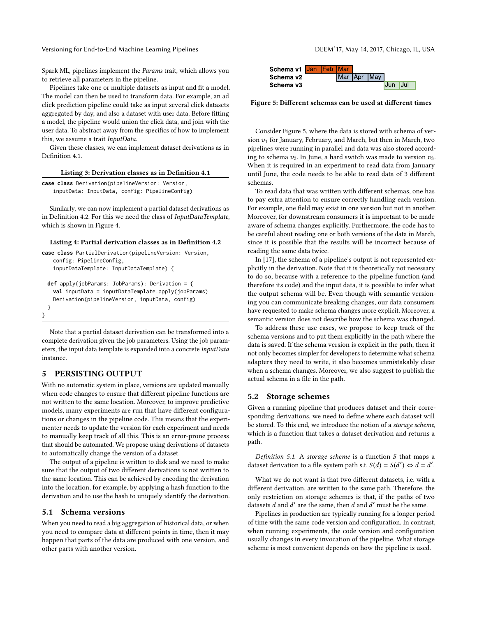Spark ML, pipelines implement the Params trait, which allows you to retrieve all parameters in the pipeline.

Pipelines take one or multiple datasets as input and fit a model. The model can then be used to transform data. For example, an ad click prediction pipeline could take as input several click datasets aggregated by day, and also a dataset with user data. Before fitting a model, the pipeline would union the click data, and join with the user data. To abstract away from the specifics of how to implement this, we assume a trait InputData.

Given these classes, we can implement dataset derivations as in Definition [4.1.](#page-3-3)

| Listing 3: Derivation classes as in Definition 4.1 |  |  |  |
|----------------------------------------------------|--|--|--|
|----------------------------------------------------|--|--|--|

<span id="page-4-1"></span>

|  |  | case class Derivation(pipelineVersion: Version, |  |
|--|--|-------------------------------------------------|--|
|  |  | inputData: InputData, config: PipelineConfig)   |  |

Similarly, we can now implement a partial dataset derivations as in Definition [4.2.](#page-3-4) For this we need the class of InputDataTemplate, which is shown in Figure [4.](#page-3-2)

#### <span id="page-4-3"></span>Listing 4: Partial derivation classes as in Definition [4.2](#page-3-4)

```
case class PartialDerivation(pipelineVersion: Version,
   config: PipelineConfig,
   inputDataTemplate: InputDataTemplate) {
 def apply(jobParams: JobParams): Derivation = {
   val inputData = inputDataTemplate.apply(jobParams)
   Derivation(pipelineVersion, inputData, config)
 }
}
```
Note that a partial dataset derivation can be transformed into a complete derivation given the job parameters. Using the job parameters, the input data template is expanded into a concrete InputData instance.

# <span id="page-4-0"></span>5 PERSISTING OUTPUT

With no automatic system in place, versions are updated manually when code changes to ensure that different pipeline functions are not written to the same location. Moreover, to improve predictive models, many experiments are run that have different configurations or changes in the pipeline code. This means that the experimenter needs to update the version for each experiment and needs to manually keep track of all this. This is an error-prone process that should be automated. We propose using derivations of datasets to automatically change the version of a dataset.

The output of a pipeline is written to disk and we need to make sure that the output of two different derivations is not written to the same location. This can be achieved by encoding the derivation into the location, for example, by applying a hash function to the derivation and to use the hash to uniquely identify the derivation.

# <span id="page-4-5"></span>5.1 Schema versions

When you need to read a big aggregation of historical data, or when you need to compare data at different points in time, then it may happen that parts of the data are produced with one version, and other parts with another version.

<span id="page-4-4"></span>

Figure 5: Different schemas can be used at different times

Consider Figure [5,](#page-4-4) where the data is stored with schema of version  $v_1$  for January, February, and March, but then in March, two pipelines were running in parallel and data was also stored according to schema  $v_2$ . In June, a hard switch was made to version  $v_3$ . When it is required in an experiment to read data from January until June, the code needs to be able to read data of 3 different schemas.

To read data that was written with different schemas, one has to pay extra attention to ensure correctly handling each version. For example, one field may exist in one version but not in another. Moreover, for downstream consumers it is important to be made aware of schema changes explicitly. Furthermore, the code has to be careful about reading one or both versions of the data in March, since it is possible that the results will be incorrect because of reading the same data twice.

In [\[17\]](#page-8-2), the schema of a pipeline's output is not represented explicitly in the derivation. Note that it is theoretically not necessary to do so, because with a reference to the pipeline function (and therefore its code) and the input data, it is possible to infer what the output schema will be. Even though with semantic versioning you can communicate breaking changes, our data consumers have requested to make schema changes more explicit. Moreover, a semantic version does not describe how the schema was changed.

To address these use cases, we propose to keep track of the schema versions and to put them explicitly in the path where the data is saved. If the schema version is explicit in the path, then it not only becomes simpler for developers to determine what schema adapters they need to write, it also becomes unmistakably clear when a schema changes. Moreover, we also suggest to publish the actual schema in a file in the path.

# <span id="page-4-2"></span>5.2 Storage schemes

Given a running pipeline that produces dataset and their corresponding derivations, we need to define where each dataset will be stored. To this end, we introduce the notion of a storage scheme, which is a function that takes a dataset derivation and returns a path.

<span id="page-4-6"></span>Definition 5.1. A storage scheme is a function  $S$  that maps a dataset derivation to a file system path s.t.  $S(d) = S(d') \Leftrightarrow d = d'$ .

What we do not want is that two different datasets, i.e. with a different derivation, are written to the same path. Therefore, the only restriction on storage schemes is that, if the paths of two datasets  $d$  and  $d'$  are the same, then  $d$  and  $d'$  must be the same.<br>Pinelines in production are typically running for a longer periodic

Pipelines in production are typically running for a longer period of time with the same code version and configuration. In contrast, when running experiments, the code version and configuration usually changes in every invocation of the pipeline. What storage scheme is most convenient depends on how the pipeline is used.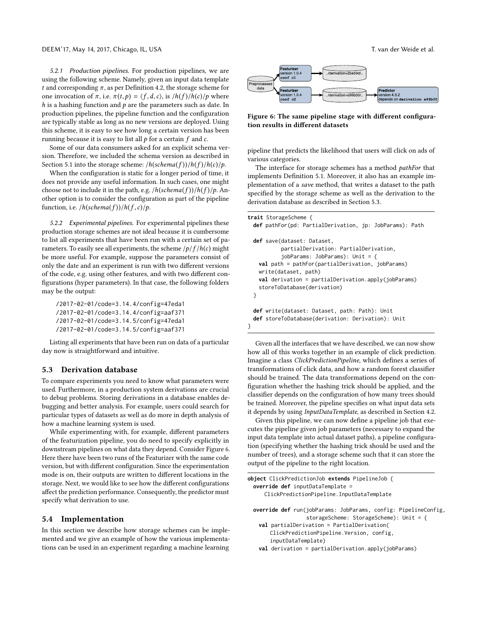5.2.1 Production pipelines. For production pipelines, we are using the following scheme. Namely, given an input data template t and corresponding  $\pi$ , as per Definition [4.2,](#page-3-4) the storage scheme for one invocation of  $\pi$ , i.e.  $\pi(t,p) = \langle f, d, c \rangle$ , is  $/h(f)/h(c)/p$  where h is a hashing function and  $p$  are the parameters such as date. In production pipelines, the pipeline function and the configuration are typically stable as long as no new versions are deployed. Using this scheme, it is easy to see how long a certain version has been running because it is easy to list all  $p$  for a certain  $f$  and  $c$ .

Some of our data consumers asked for an explicit schema version. Therefore, we included the schema version as described in Section [5.1](#page-4-5) into the storage scheme:  $/h(schema(f))/h(f)/h(c)/p$ .

When the configuration is static for a longer period of time, it does not provide any useful information. In such cases, one might choose not to include it in the path, e.g.  $/h(schema(f))/h(f)/p$ . Another option is to consider the configuration as part of the pipeline function, i.e.  $/h(schema(f))/h(f, c)/p$ .

5.2.2 Experimental pipelines. For experimental pipelines these production storage schemes are not ideal because it is cumbersome to list all experiments that have been run with a certain set of parameters. To easily see all experiments, the scheme  $/p/f/h(c)$  might be more useful. For example, suppose the parameters consist of only the date and an experiment is run with two different versions of the code, e.g. using other features, and with two different configurations (hyper parameters). In that case, the following folders may be the output:

/2017-02-01/code=3.14.4/config=47eda1 /2017-02-01/code=3.14.4/config=aaf371 /2017-02-01/code=3.14.5/config=47eda1 /2017-02-01/code=3.14.5/config=aaf371

Listing all experiments that have been run on data of a particular day now is straightforward and intuitive.

### <span id="page-5-1"></span>5.3 Derivation database

To compare experiments you need to know what parameters were used. Furthermore, in a production system derivations are crucial to debug problems. Storing derivations in a database enables debugging and better analysis. For example, users could search for particular types of datasets as well as do more in depth analysis of how a machine learning system is used.

While experimenting with, for example, different parameters of the featurization pipeline, you do need to specify explicitly in downstream pipelines on what data they depend. Consider Figure [6.](#page-5-0) Here there have been two runs of the Featurizer with the same code version, but with different configuration. Since the experimentation mode is on, their outputs are written to different locations in the storage. Next, we would like to see how the different configurations affect the prediction performance. Consequently, the predictor must specify what derivation to use.

# 5.4 Implementation

In this section we describe how storage schemes can be implemented and we give an example of how the various implementations can be used in an experiment regarding a machine learning

<span id="page-5-0"></span>

Figure 6: The same pipeline stage with different configuration results in different datasets

pipeline that predicts the likelihood that users will click on ads of various categories.

The interface for storage schemes has a method pathFor that implements Definition [5.1.](#page-4-6) Moreover, it also has an example implementation of a save method, that writes a dataset to the path specified by the storage scheme as well as the derivation to the derivation database as described in Section [5.3.](#page-5-1)

```
trait StorageScheme {
 def pathFor(pd: PartialDerivation, jp: JobParams): Path
 def save(dataset: Dataset,
          partialDerivation: PartialDerivation,
          jobParams: JobParams): Unit = {
   val path = pathFor(partialDerivation, jobParams)
   write(dataset, path)
   val derivation = partialDerivation.apply(jobParams)
   storeToDatabase(derivation)
 }
 def write(dataset: Dataset, path: Path): Unit
 def storeToDatabase(derivation: Derivation): Unit
}
```
Given all the interfaces that we have described, we can now show how all of this works together in an example of click prediction. Imagine a class ClickPredictionPipeline, which defines a series of transformations of click data, and how a random forest classifier should be trained. The data transformations depend on the configuration whether the hashing trick should be applied, and the classifier depends on the configuration of how many trees should be trained. Moreover, the pipeline specifies on what input data sets it depends by using InputDataTemplate, as described in Section [4.2.](#page-3-1)

Given this pipeline, we can now define a pipeline job that executes the pipeline given job parameters (necessary to expand the input data template into actual dataset paths), a pipeline configuration (specifying whether the hashing trick should be used and the number of trees), and a storage scheme such that it can store the output of the pipeline to the right location.

```
object ClickPredictionJob extends PipelineJob {
 override def inputDataTemplate =
     ClickPredictionPipeline.InputDataTemplate
 override def run(jobParams: JobParams, config: PipelineConfig,
```
storageScheme: StorageScheme): Unit = {

val partialDerivation = PartialDerivation( ClickPredictionPipeline.Version, config, inputDataTemplate)

val derivation = partialDerivation.apply(jobParams)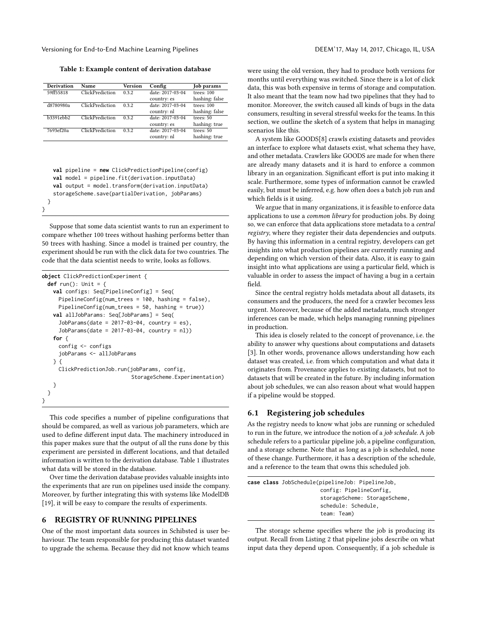<span id="page-6-1"></span>Table 1: Example content of derivation database

| Derivation       | Name            | Version | Config           | Job params     |
|------------------|-----------------|---------|------------------|----------------|
| 59ff55818        | ClickPrediction | 032     | date: 2017-03-04 | trees: $100$   |
|                  |                 |         | country: es      | hashing: false |
| d8780980a        | ClickPrediction | 032     | date: 2017-03-04 | trees: $100$   |
|                  |                 |         | country: nl      | hashing: false |
| <b>b3391ebb2</b> | ClickPrediction | 032     | date: 2017-03-04 | trees: 50      |
|                  |                 |         | country: es      | hashing: true  |
| 7693ef20a        | ClickPrediction | 032     | date: 2017-03-04 | trees: 50      |
|                  |                 |         | country: nl      | hashing: true  |

val pipeline = new ClickPredictionPipeline(config) val model = pipeline.fit(derivation.inputData) val output = model.transform(derivation.inputData) storageScheme.save(partialDerivation, jobParams)

} }

Suppose that some data scientist wants to run an experiment to compare whether 100 trees without hashing performs better than 50 trees with hashing. Since a model is trained per country, the experiment should be run with the click data for two countries. The code that the data scientist needs to write, looks as follows.

```
object ClickPredictionExperiment {
 def run(): Unit = {
   val configs: Seq[PipelineConfig] = Seq(
     PipelineConfig(num_trees = 100, hashing = false),
     PipelineConfig(num_trees = 50, hashing = true))
   val allJobParams: Seq[JobParams] = Seq(
     JobParameters(data = 2017-03-04, country = es),JobParams(date = 2017-03-04, country = nl))
   for {
     config <- configs
     jobParams <- allJobParams
   } {
     ClickPredictionJob.run(jobParams, config,
                             StorageScheme.Experimentation)
   }
 }
}
```
This code specifies a number of pipeline configurations that should be compared, as well as various job parameters, which are used to define different input data. The machinery introduced in this paper makes sure that the output of all the runs done by this experiment are persisted in different locations, and that detailed information is written to the derivation database. Table [1](#page-6-1) illustrates what data will be stored in the database.

Over time the derivation database provides valuable insights into the experiments that are run on pipelines used inside the company. Moreover, by further integrating this with systems like ModelDB [\[19\]](#page-8-6), it will be easy to compare the results of experiments.

# <span id="page-6-0"></span>6 REGISTRY OF RUNNING PIPELINES

One of the most important data sources in Schibsted is user behaviour. The team responsible for producing this dataset wanted to upgrade the schema. Because they did not know which teams

were using the old version, they had to produce both versions for months until everything was switched. Since there is a lot of click data, this was both expensive in terms of storage and computation. It also meant that the team now had two pipelines that they had to monitor. Moreover, the switch caused all kinds of bugs in the data consumers, resulting in several stressful weeks for the teams. In this section, we outline the sketch of a system that helps in managing scenarios like this.

A system like GOODS[\[8\]](#page-8-14) crawls existing datasets and provides an interface to explore what datasets exist, what schema they have, and other metadata. Crawlers like GOODS are made for when there are already many datasets and it is hard to enforce a common library in an organization. Significant effort is put into making it scale. Furthermore, some types of information cannot be crawled easily, but must be inferred, e.g. how often does a batch job run and which fields is it using.

We argue that in many organizations, it is feasible to enforce data applications to use a common library for production jobs. By doing so, we can enforce that data applications store metadata to a central registry, where they register their data dependencies and outputs. By having this information in a central registry, developers can get insights into what production pipelines are currently running and depending on which version of their data. Also, it is easy to gain insight into what applications are using a particular field, which is valuable in order to assess the impact of having a bug in a certain field.

Since the central registry holds metadata about all datasets, its consumers and the producers, the need for a crawler becomes less urgent. Moreover, because of the added metadata, much stronger inferences can be made, which helps managing running pipelines in production.

This idea is closely related to the concept of provenance, i.e. the ability to answer why questions about computations and datasets [\[3\]](#page-7-3). In other words, provenance allows understanding how each dataset was created, i.e. from which computation and what data it originates from. Provenance applies to existing datasets, but not to datasets that will be created in the future. By including information about job schedules, we can also reason about what would happen if a pipeline would be stopped.

# 6.1 Registering job schedules

As the registry needs to know what jobs are running or scheduled to run in the future, we introduce the notion of a job schedule. A job schedule refers to a particular pipeline job, a pipeline configuration, and a storage scheme. Note that as long as a job is scheduled, none of these change. Furthermore, it has a description of the schedule, and a reference to the team that owns this scheduled job.

|  | case class JobSchedule(pipelineJob: PipelineJob,     |
|--|------------------------------------------------------|
|  | config: PipelineConfig,                              |
|  | storageScheme: StorageScheme,<br>schedule: Schedule, |
|  | team: Team)                                          |

The storage scheme specifies where the job is producing its output. Recall from Listing [2](#page-3-5) that pipeline jobs describe on what input data they depend upon. Consequently, if a job schedule is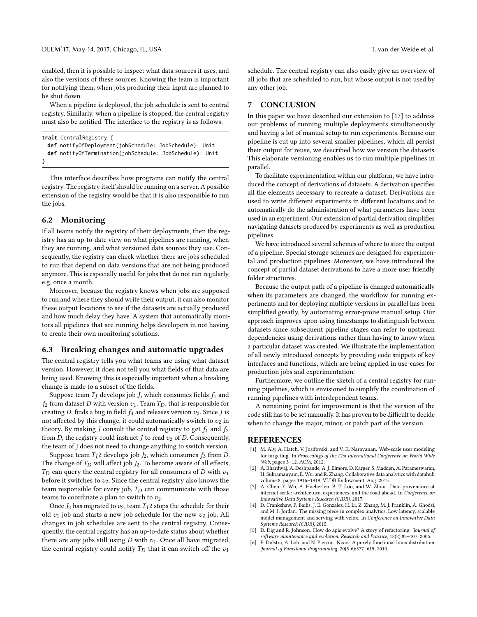enabled, then it is possible to inspect what data sources it uses, and also the versions of these sources. Knowing the team is important for notifying them, when jobs producing their input are planned to be shut down.

When a pipeline is deployed, the job schedule is sent to central registry. Similarly, when a pipeline is stopped, the central registry must also be notified. The interface to the registry is as follows.

```
trait CentralRegistry {
 def notifyOfDeployment(jobSchedule: JobSchedule): Unit
 def notifyOfTermination(jobSchedule: JobSchedule): Unit
}
```
This interface describes how programs can notify the central registry. The registry itself should be running on a server. A possible extension of the registry would be that it is also responsible to run the jobs.

### 6.2 Monitoring

If all teams notify the registry of their deployments, then the registry has an up-to-date view on what pipelines are running, when they are running, and what versioned data sources they use. Consequently, the registry can check whether there are jobs scheduled to run that depend on data versions that are not being produced anymore. This is especially useful for jobs that do not run regularly, e.g. once a month.

Moreover, because the registry knows when jobs are supposed to run and where they should write their output, it can also monitor these output locations to see if the datasets are actually produced and how much delay they have. A system that automatically monitors all pipelines that are running helps developers in not having to create their own monitoring solutions.

### 6.3 Breaking changes and automatic upgrades

The central registry tells you what teams are using what dataset version. However, it does not tell you what fields of that data are being used. Knowing this is especially important when a breaking change is made to a subset of the fields.

Suppose team  $T_I$  develops job *J*, which consumes fields  $f_1$  and  $f_2$  from dataset D with version  $v_1$ . Team  $T_D$ , that is responsible for creating D, finds a bug in field  $f_3$  and releases version  $v_2$ . Since J is not affected by this change, it could automatically switch to  $v_2$  in theory. By making *J* consult the central registry to get  $f_1$  and  $f_2$ from  $D$ , the registry could instruct  $J$  to read  $v_2$  of  $D$ . Consequently, the team of J does not need to change anything to switch version.

Suppose team  $T_I$ 2 develops job  $J_2$ , which consumes  $f_3$  from D. The change of  $T_D$  will affect job  $J_2$ . To become aware of all effects,  $T_D$  can query the central registry for all consumers of  $D$  with  $v_1$ before it switches to  $v_2$ . Since the central registry also knows the team responsible for every job,  $T_D$  can communicate with those teams to coordinate a plan to switch to  $v_2$ .

Once  $J_2$  has migrated to  $v_2$ , team  $T_I$ 2 stops the schedule for their old  $v_1$  job and starts a new job schedule for the new  $v_2$  job. All changes in job schedules are sent to the central registry. Consequently, the central registry has an up-to-date status about whether there are any jobs still using  $D$  with  $v_1$ . Once all have migrated, the central registry could notify  $T_D$  that it can switch off the  $v_1$ 

schedule. The central registry can also easily give an overview of all jobs that are scheduled to run, but whose output is not used by any other job.

# 7 CONCLUSION

In this paper we have described our extension to [\[17\]](#page-8-2) to address our problems of running multiple deployments simultaneously and having a lot of manual setup to run experiments. Because our pipeline is cut up into several smaller pipelines, which all persist their output for reuse, we described how we version the datasets. This elaborate versioning enables us to run multiple pipelines in parallel.

To facilitate experimentation within our platform, we have introduced the concept of derivations of datasets. A derivation specifies all the elements necessary to recreate a dataset. Derivations are used to write different experiments in different locations and to automatically do the administration of what parameters have been used in an experiment. Our extension of partial derivation simplifies navigating datasets produced by experiments as well as production pipelines.

We have introduced several schemes of where to store the output of a pipeline. Special storage schemes are designed for experimental and production pipelines. Moreover, we have introduced the concept of partial dataset derivations to have a more user friendly folder structures.

Because the output path of a pipeline is changed automatically when its parameters are changed, the workflow for running experiments and for deploying multiple versions in parallel has been simplified greatly, by automating error-prone manual setup. Our approach improves upon using timestamps to distinguish between datasets since subsequent pipeline stages can refer to upstream dependencies using derivations rather than having to know when a particular dataset was created. We illustrate the implementation of all newly introduced concepts by providing code snippets of key interfaces and functions, which are being applied in use-cases for production jobs and experimentation.

Furthermore, we outline the sketch of a central registry for running pipelines, which is envisioned to simplify the coordination of running pipelines with interdependent teams.

A remaining point for improvement is that the version of the code still has to be set manually. It has proven to be difficult to decide when to change the major, minor, or patch part of the version.

## REFERENCES

- <span id="page-7-4"></span>[1] M. Aly, A. Hatch, V. Josifovski, and V. K. Narayanan. Web-scale user modeling for targeting. In Proceedings of the 21st International Conference on World Wide Web, pages 3–12. ACM, 2012.
- <span id="page-7-2"></span>[2] A. Bhardwaj, A. Deshpande, A. J. Elmore, D. Karger, S. Madden, A. Parameswaran, H. Subramanyam, E. Wu, and R. Zhang. Collaborative data analytics with datahub. volume 8, pages 1916–1919. VLDB Endowment, Aug. 2015.
- <span id="page-7-3"></span>[3] A. Chen, Y. Wu, A. Haeberlen, B. T. Loo, and W. Zhou. Data provenance at internet scale: architecture, experiences, and the road ahead. In Conference on Innovative Data Systems Research (CIDR), 2017.
- <span id="page-7-1"></span>[4] D. Crankshaw, P. Bailis, J. E. Gonzalez, H. Li, Z. Zhang, M. J. Franklin, A. Ghodsi, and M. I. Jordan. The missing piece in complex analytics: Low latency, scalable model management and serving with velox. In Conference on Innovative Data Systems Research (CIDR), 2015.
- <span id="page-7-0"></span>[5] D. Dig and R. Johnson. How do apis evolve? A story of refactoring. Journal of software maintenance and evolution: Research and Practice, 18(2):83–107, 2006.
- <span id="page-7-5"></span>[6] E. Dolstra, A. Löh, and N. Pierron. Nixos: A purely functional linux distribution. Journal of Functional Programming, 20(5-6):577–615, 2010.